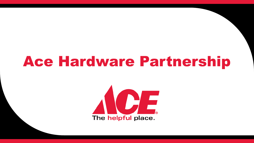# Ace Hardware Partnership

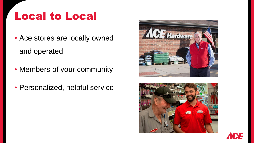### Local to Local

- Ace stores are locally owned and operated
- Members of your community
- Personalized, helpful service





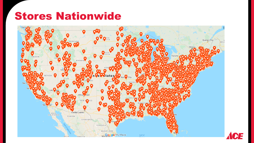### Stores Nationwide

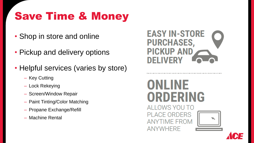## Save Time & Money

- Shop in store and online
- Pickup and delivery options
- Helpful services (varies by store)
	- Key Cutting
	- ‒ Lock Rekeying
	- ‒ Screen/Window Repair
	- Paint Tinting/Color Matching
	- ‒ Propane Exchange/Refill
	- ‒ Machine Rental



\*\*\*\*\*\*\*\*\*\*\*\*\*\*\*\*\*\*\*\*



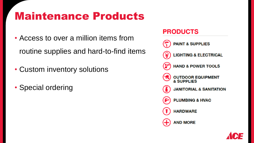### Maintenance Products

- Access to over a million items from routine supplies and hard-to-find items
- Custom inventory solutions
- Special ordering

#### **PRODUCTS**



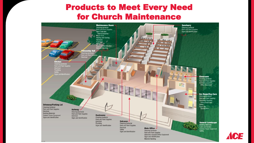#### Products to Meet Every Need for Church Maintenance



CE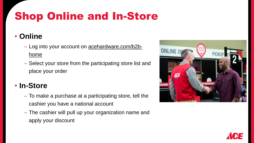## Shop Online and In-Store

#### • **Online**

- Log into your account on **acehardware.com/b2b**home
- ‒ Select your store from the participating store list and place your order

### • **In-Store**

- ‒ To make a purchase at a participating store, tell the cashier you have a national account
- ‒ The cashier will pull up your organization name and apply your discount